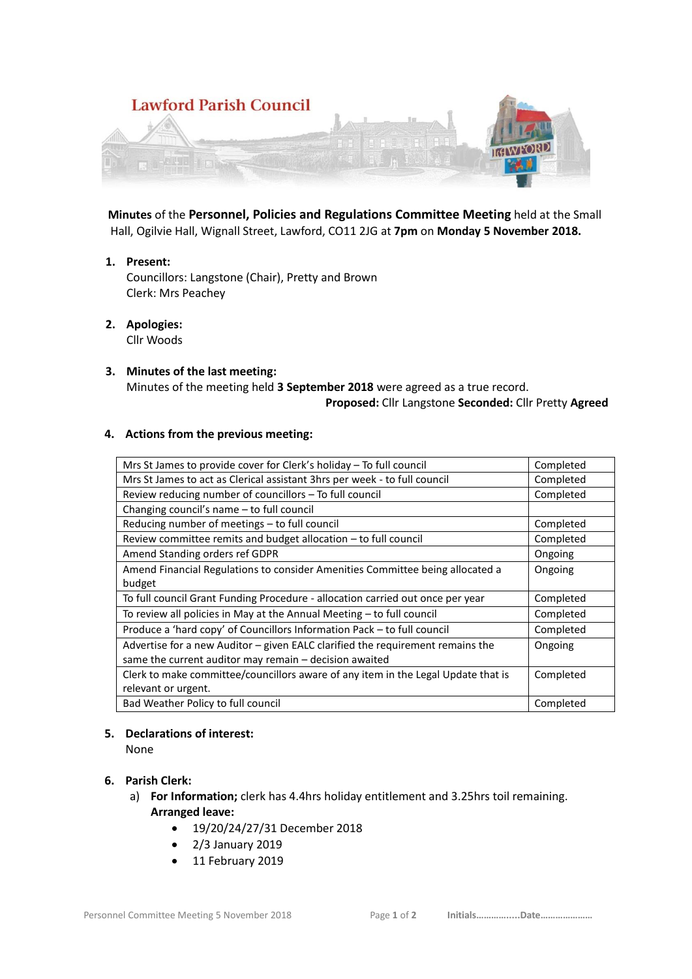

 **Minutes** of the **Personnel, Policies and Regulations Committee Meeting** held at the Small Hall, Ogilvie Hall, Wignall Street, Lawford, CO11 2JG at **7pm** on **Monday 5 November 2018.**

**1. Present:**

Councillors: Langstone (Chair), Pretty and Brown Clerk: Mrs Peachey

- **2. Apologies:**  Cllr Woods
- **3. Minutes of the last meeting:** Minutes of the meeting held **3 September 2018** were agreed as a true record.  **Proposed:** Cllr Langstone **Seconded:** Cllr Pretty **Agreed**

### **4. Actions from the previous meeting:**

| Mrs St James to provide cover for Clerk's holiday - To full council               | Completed |
|-----------------------------------------------------------------------------------|-----------|
| Mrs St James to act as Clerical assistant 3hrs per week - to full council         | Completed |
| Review reducing number of councillors - To full council                           | Completed |
| Changing council's name - to full council                                         |           |
| Reducing number of meetings - to full council                                     | Completed |
| Review committee remits and budget allocation - to full council                   | Completed |
| Amend Standing orders ref GDPR                                                    | Ongoing   |
| Amend Financial Regulations to consider Amenities Committee being allocated a     | Ongoing   |
| budget                                                                            |           |
| To full council Grant Funding Procedure - allocation carried out once per year    | Completed |
| To review all policies in May at the Annual Meeting – to full council             | Completed |
| Produce a 'hard copy' of Councillors Information Pack - to full council           | Completed |
| Advertise for a new Auditor - given EALC clarified the requirement remains the    | Ongoing   |
| same the current auditor may remain – decision awaited                            |           |
| Clerk to make committee/councillors aware of any item in the Legal Update that is | Completed |
| relevant or urgent.                                                               |           |
| Bad Weather Policy to full council                                                | Completed |

### **5. Declarations of interest:**

None

## **6. Parish Clerk:**

- a) **For Information;** clerk has 4.4hrs holiday entitlement and 3.25hrs toil remaining. **Arranged leave:** 
	- 19/20/24/27/31 December 2018
	- 2/3 January 2019
	- 11 February 2019